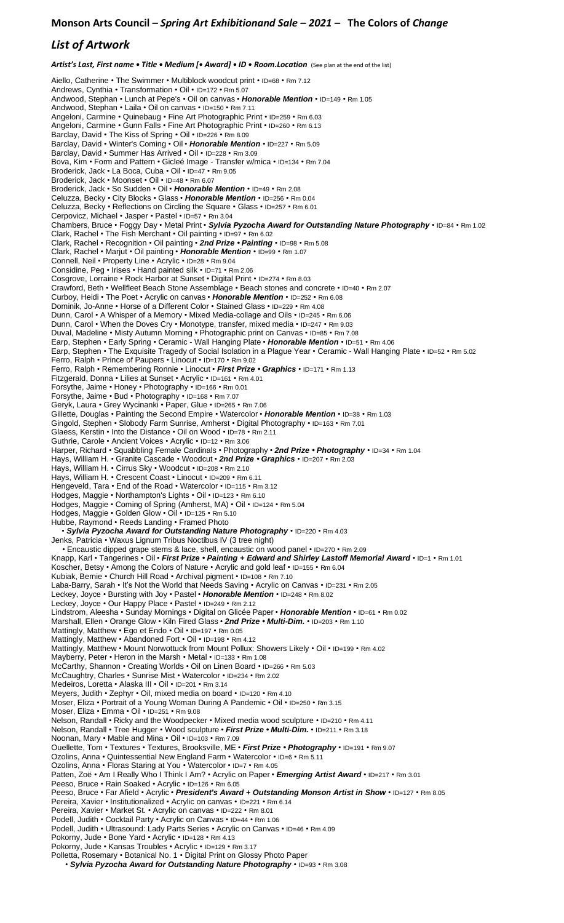## *List of Artwork*

*Artist's Last, First name • Title • Medium [• Award] • ID • Room.Location* (See plan at the end of the list)

Aiello, Catherine • The Swimmer • Multiblock woodcut print • ID=68 • Rm 7.12 Andrews, Cynthia • Transformation • Oil • ID=172 • Rm 5.07 Andwood, Stephan • Lunch at Pepe's • Oil on canvas • *Honorable Mention* • ID=149 • Rm 1.05 Andwood, Stephan • Laila • Oil on canvas • ID=150 • Rm 7.11 Angeloni, Carmine • Quinebaug • Fine Art Photographic Print • ID=259 • Rm 6.03 Angeloni, Carmine • Gunn Falls • Fine Art Photographic Print • ID=260 • Rm 6.13 Barclay, David • The Kiss of Spring • Oil • ID=226 • Rm 8.09 Barclay, David • Winter's Coming • Oil • *Honorable Mention* • ID=227 • Rm 5.09 Barclay, David • Summer Has Arrived • Oil • ID=228 • Rm 3.09 Bova, Kim • Form and Pattern • Gicleé Image - Transfer w/mica • ID=134 • Rm 7.04 Broderick, Jack • La Boca, Cuba • Oil • ID=47 • Rm 9.05 Broderick, Jack • Moonset • Oil • ID=48 • Rm 6.07 Broderick, Jack • So Sudden • Oil • *Honorable Mention* • ID=49 • Rm 2.08 Celuzza, Becky • City Blocks • Glass • *Honorable Mention* • ID=256 • Rm 0.04 Celuzza, Becky • Reflections on Circling the Square • Glass • ID=257 • Rm 6.01 Cerpovicz, Michael • Jasper • Pastel • ID=57 • Rm 3.04 Chambers, Bruce • Foggy Day • Metal Print • *Sylvia Pyzocha Award for Outstanding Nature Photography* • ID=84 • Rm 1.02 Clark, Rachel • The Fish Merchant • Oil painting • ID=97 • Rm 6.02 Clark, Rachel • Recognition • Oil painting • *2nd Prize • Painting* • ID=98 • Rm 5.08 Clark, Rachel • Marjut • Oil painting • *Honorable Mention* • ID=99 • Rm 1.07 Connell, Neil • Property Line • Acrylic • ID=28 • Rm 9.04 Considine, Peg • Irises • Hand painted silk • ID=71 • Rm 2.06 Cosgrove, Lorraine • Rock Harbor at Sunset • Digital Print • ID=274 • Rm 8.03 Crawford, Beth • Wellfleet Beach Stone Assemblage • Beach stones and concrete • ID=40 • Rm 2.07 Curboy, Heidi • The Poet • Acrylic on canvas • *Honorable Mention* • ID=252 • Rm 6.08 Dominik, Jo-Anne • Horse of a Different Color • Stained Glass • ID=229 • Rm 4.08 Dunn, Carol • A Whisper of a Memory • Mixed Media-collage and Oils • ID=245 • Rm 6.06 Dunn, Carol • When the Doves Cry • Monotype, transfer, mixed media • ID=247 • Rm 9.03 Duval, Madeline • Misty Autumn Morning • Photographic print on Canvas • ID=85 • Rm 7.08 Earp, Stephen • Early Spring • Ceramic - Wall Hanging Plate • *Honorable Mention* • ID=51 • Rm 4.06 Earp, Stephen • The Exquisite Tragedy of Social Isolation in a Plague Year • Ceramic - Wall Hanging Plate • ID=52 • Rm 5.02 Ferro, Ralph • Prince of Paupers • Linocut • ID=170 • Rm 9.02 Ferro, Ralph • Remembering Ronnie • Linocut • *First Prize • Graphics* • ID=171 • Rm 1.13 Fitzgerald, Donna • Lilies at Sunset • Acrylic • ID=161 • Rm 4.01 Forsythe, Jaime • Honey • Photography • ID=166 • Rm 0.01 Forsythe, Jaime • Bud • Photography • ID=168 • Rm 7.07 Geryk, Laura • Grey Wycinanki • Paper, Glue • ID=265 • Rm 7.06 Gillette, Douglas • Painting the Second Empire • Watercolor • *Honorable Mention* • ID=38 • Rm 1.03 Gingold, Stephen • Slobody Farm Sunrise, Amherst • Digital Photography • ID=163 • Rm 7.01 Glaess, Kerstin • Into the Distance • Oil on Wood • ID=78 • Rm 2.11 Guthrie, Carole • Ancient Voices • Acrylic • ID=12 • Rm 3.06 Harper, Richard • Squabbling Female Cardinals • Photography • *2nd Prize • Photography* • ID=34 • Rm 1.04 Hays, William H. • Granite Cascade • Woodcut • *2nd Prize • Graphics* • ID=207 • Rm 2.03 Hays, William H. • Cirrus Sky • Woodcut • ID=208 • Rm 2.10 Hays, William H. • Crescent Coast • Linocut • ID=209 • Rm 6.11 Hengeveld, Tara • End of the Road • Watercolor • ID=115 • Rm 3.12 Hodges, Maggie • Northampton's Lights • Oil • ID=123 • Rm 6.10 Hodges, Maggie • Coming of Spring (Amherst, MA) • Oil • ID=124 • Rm 5.04 Hodges, Maggie • Golden Glow • Oil • ID=125 • Rm 5.10 Hubbe, Raymond • Reeds Landing • Framed Photo • *Sylvia Pyzocha Award for Outstanding Nature Photography* • ID=220 • Rm 4.03 Jenks, Patricia • Waxus Lignum Tribus Noctibus IV (3 tree night) • Encaustic dipped grape stems & lace, shell, encaustic on wood panel • ID=270 • Rm 2.09 Knapp, Karl • Tangerines • Oil • *First Prize • Painting + Edward and Shirley Lastoff Memorial Award* • ID=1 • Rm 1.01 Koscher, Betsy • Among the Colors of Nature • Acrylic and gold leaf • ID=155 • Rm 6.04 Kubiak, Bernie • Church Hill Road • Archival pigment • ID=108 • Rm 7.10 Laba-Barry, Sarah • It's Not the World that Needs Saving • Acrylic on Canvas • ID=231 • Rm 2.05 Leckey, Joyce • Bursting with Joy • Pastel • *Honorable Mention* • ID=248 • Rm 8.02 Leckey, Joyce • Our Happy Place • Pastel • ID=249 • Rm 2.12 Lindstrom, Aleesha • Sunday Mornings • Digital on Glicée Paper • *Honorable Mention* • ID=61 • Rm 0.02 Marshall, Ellen • Orange Glow • Kiln Fired Glass • *2nd Prize • Multi-Dim.* • ID=203 • Rm 1.10 Mattingly, Matthew • Ego et Endo • Oil • ID=197 • Rm 0.05 Mattingly, Matthew • Abandoned Fort • Oil • ID=198 • Rm 4.12 Mattingly, Matthew • Mount Norwottuck from Mount Pollux: Showers Likely • Oil • ID=199 • Rm 4.02 Mayberry, Peter • Heron in the Marsh • Metal • ID=133 • Rm 1.08 McCarthy, Shannon • Creating Worlds • Oil on Linen Board • ID=266 • Rm 5.03 McCaughtry, Charles • Sunrise Mist • Watercolor • ID=234 • Rm 2.02 Medeiros, Loretta • Alaska III • Oil • ID=201 • Rm 3.14 Meyers, Judith • Zephyr • Oil, mixed media on board • ID=120 • Rm 4.10 Moser, Eliza • Portrait of a Young Woman During A Pandemic • Oil • ID=250 • Rm 3.15 Moser, Eliza • Emma • Oil • ID=251 • Rm 9.08 Nelson, Randall • Ricky and the Woodpecker • Mixed media wood sculpture • ID=210 • Rm 4.11 Nelson, Randall • Tree Hugger • Wood sculpture • *First Prize • Multi-Dim.* • ID=211 • Rm 3.18 Noonan, Mary • Mable and Mina • Oil • ID=103 • Rm 7.09 Ouellette, Tom • Textures • Textures, Brooksville, ME • *First Prize • Photography* • ID=191 • Rm 9.07 Ozolins, Anna • Quintessential New England Farm • Watercolor • ID=6 • Rm 5.11 Ozolins, Anna • Floras Staring at You • Watercolor • ID=7 • Rm 4.05 Patten, Zoë • Am I Really Who I Think I Am? • Acrylic on Paper • *Emerging Artist Award* • ID=217 • Rm 3.01 Peeso, Bruce • Rain Soaked • Acrylic • ID=126 • Rm 6.05 Peeso, Bruce • Far Afield • Acrylic • *President's Award + Outstanding Monson Artist in Show* • ID=127 • Rm 8.05 Pereira, Xavier • Institutionalized • Acrylic on canvas • ID=221 • Rm 6.14 Pereira, Xavier • Market St. • Acrylic on canvas • ID=222 • Rm 8.01 Podell, Judith • Cocktail Party • Acrylic on Canvas • ID=44 • Rm 1.06 Podell, Judith • Ultrasound: Lady Parts Series • Acrylic on Canvas • ID=46 • Rm 4.09 Pokorny, Jude • Bone Yard • Acrylic • ID=128 • Rm 4.13 Pokorny, Jude • Kansas Troubles • Acrylic • ID=129 • Rm 3.17 Polletta, Rosemary • Botanical No. 1 • Digital Print on Glossy Photo Paper • *Sylvia Pyzocha Award for Outstanding Nature Photography* • ID=93 • Rm 3.08